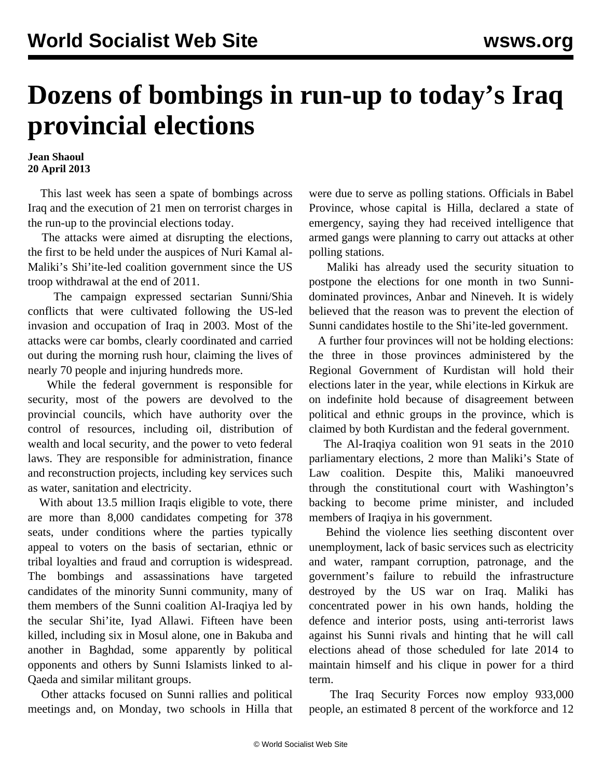## **Dozens of bombings in run-up to today's Iraq provincial elections**

## **Jean Shaoul 20 April 2013**

 This last week has seen a spate of bombings across Iraq and the execution of 21 men on terrorist charges in the run-up to the provincial elections today.

 The attacks were aimed at disrupting the elections, the first to be held under the auspices of Nuri Kamal al-Maliki's Shi'ite-led coalition government since the US troop withdrawal at the end of 2011.

 The campaign expressed sectarian Sunni/Shia conflicts that were cultivated following the US-led invasion and occupation of Iraq in 2003. Most of the attacks were car bombs, clearly coordinated and carried out during the morning rush hour, claiming the lives of nearly 70 people and injuring hundreds more.

 While the federal government is responsible for security, most of the powers are devolved to the provincial councils, which have authority over the control of resources, including oil, distribution of wealth and local security, and the power to veto federal laws. They are responsible for administration, finance and reconstruction projects, including key services such as water, sanitation and electricity.

With about 13.5 million Iraqis eligible to vote, there are more than 8,000 candidates competing for 378 seats, under conditions where the parties typically appeal to voters on the basis of sectarian, ethnic or tribal loyalties and fraud and corruption is widespread. The bombings and assassinations have targeted candidates of the minority Sunni community, many of them members of the Sunni coalition Al-Iraqiya led by the secular Shi'ite, Iyad Allawi. Fifteen have been killed, including six in Mosul alone, one in Bakuba and another in Baghdad, some apparently by political opponents and others by Sunni Islamists linked to al-Qaeda and similar militant groups.

 Other attacks focused on Sunni rallies and political meetings and, on Monday, two schools in Hilla that were due to serve as polling stations. Officials in Babel Province, whose capital is Hilla, declared a state of emergency, saying they had received intelligence that armed gangs were planning to carry out attacks at other polling stations.

 Maliki has already used the security situation to postpone the elections for one month in two Sunnidominated provinces, Anbar and Nineveh. It is widely believed that the reason was to prevent the election of Sunni candidates hostile to the Shi'ite-led government.

 A further four provinces will not be holding elections: the three in those provinces administered by the Regional Government of Kurdistan will hold their elections later in the year, while elections in Kirkuk are on indefinite hold because of disagreement between political and ethnic groups in the province, which is claimed by both Kurdistan and the federal government.

 The Al-Iraqiya coalition won 91 seats in the 2010 parliamentary elections, 2 more than Maliki's State of Law coalition. Despite this, Maliki manoeuvred through the constitutional court with Washington's backing to become prime minister, and included members of Iraqiya in his government.

 Behind the violence lies seething discontent over unemployment, lack of basic services such as electricity and water, rampant corruption, patronage, and the government's failure to rebuild the infrastructure destroyed by the US war on Iraq. Maliki has concentrated power in his own hands, holding the defence and interior posts, using anti-terrorist laws against his Sunni rivals and hinting that he will call elections ahead of those scheduled for late 2014 to maintain himself and his clique in power for a third term.

 The Iraq Security Forces now employ 933,000 people, an estimated 8 percent of the workforce and 12